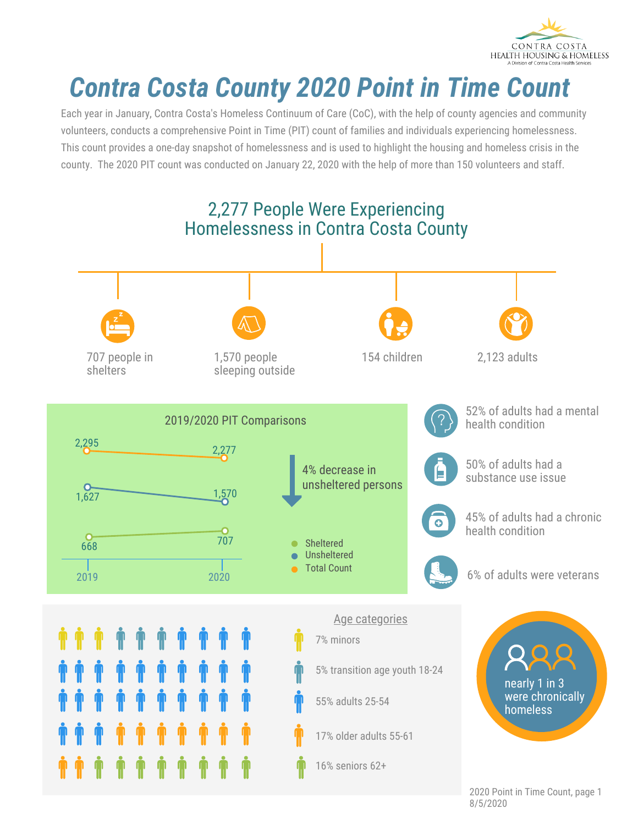

## *Contra Costa County 2020 Point in Time Count*

Each year in January, Contra Costa's Homeless Continuum of Care (CoC), with the help of county agencies and community volunteers, conducts a comprehensive Point in Time (PIT) count of families and individuals experiencing homelessness. This count provides a one-day snapshot of homelessness and is used to highlight the housing and homeless crisis in the county. The 2020 PIT count was conducted on January 22, 2020 with the help of more than 150 volunteers and staff.



2020 Point in Time Count, page 1 8/5/2020